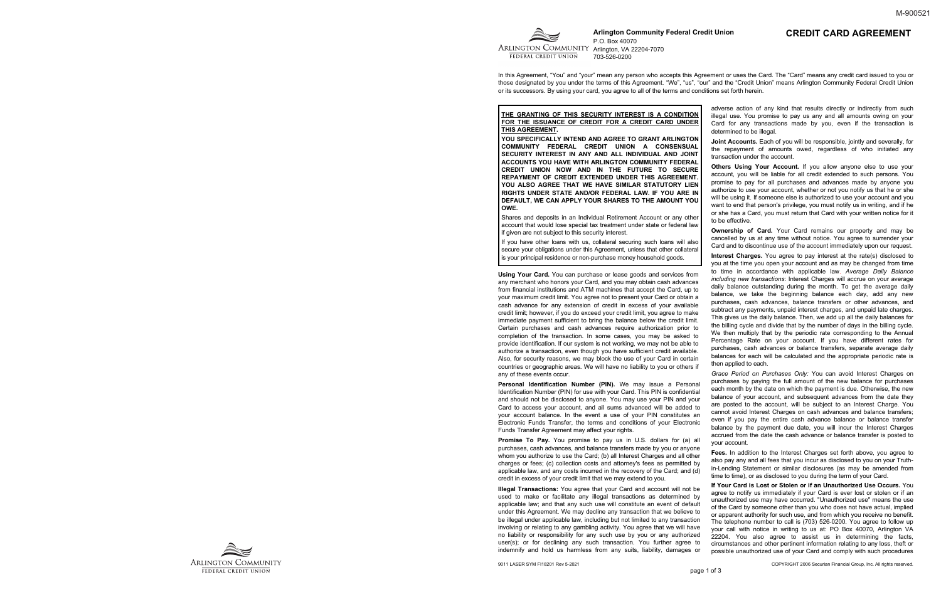

**Arlington Community Federal Credit Union** P.O. Box 40070 ARLINGTON COMMUNITY Arlinaton, VA 22204-7070 703-526-0200

In this Agreement, "You" and "your" mean any person who accepts this Agreement or uses the Card. The "Card" means any credit card issued to you or those designated by you under the terms of this Agreement. "We", "us", "our" and the "Credit Union" means Arlington Community Federal Credit Union or its successors. By using your card, you agree to all of the terms and conditions set forth herein.

**THE GRANTING OF THIS SECURITY INTEREST IS A CONDITION FOR THE ISSUANCE OF CREDIT FOR A CREDIT CARD UNDER THIS AGREEMENT.**

**YOU SPECIFICALLY INTEND AND AGREE TO GRANT ARLINGTON COMMUNITY FEDERAL CREDIT UNION A CONSENSUAL SECURITY INTEREST IN ANY AND ALL INDIVIDUAL AND JOINT ACCOUNTS YOU HAVE WITH ARLINGTON COMMUNITY FEDERAL CREDIT UNION NOW AND IN THE FUTURE TO SECURE REPAYMENT OF CREDIT EXTENDED UNDER THIS AGREEMENT. YOU ALSO AGREE THAT WE HAVE SIMILAR STATUTORY LIEN RIGHTS UNDER STATE AND/OR FEDERAL LAW. IF YOU ARE IN DEFAULT, WE CAN APPLY YOUR SHARES TO THE AMOUNT YOU OWE.** 

Shares and deposits in an Individual Retirement Account or any other account that would lose special tax treatment under state or federal law if given are not subject to this security interest.

If you have other loans with us, collateral securing such loans will also secure your obligations under this Agreement, unless that other collateral is your principal residence or non-purchase money household goods.

**Using Your Card.** You can purchase or lease goods and services from any merchant who honors your Card, and you may obtain cash advances from financial institutions and ATM machines that accept the Card, up to your maximum credit limit. You agree not to present your Card or obtain a cash advance for any extension of credit in excess of your available credit limit; however, if you do exceed your credit limit, you agree to make immediate payment sufficient to bring the balance below the credit limit. Certain purchases and cash advances require authorization prior to completion of the transaction. In some cases, you may be asked to provide identification. If our system is not working, we may not be able to authorize a transaction, even though you have sufficient credit available. Also, for security reasons, we may block the use of your Card in certain countries or geographic areas. We will have no liability to you or others if

**Ownership of Card.** Your Card remains our property and may be cancelled by us at any time without notice. You agree to surrender your Card and to discontinue use of the account immediately upon our request.

adverse action of any kind that results directly or indirectly from such illegal use. You promise to pay us any and all amounts owing on your Card for any transactions made by you, even if the transaction is determined to be illegal.

**Joint Accounts.** Each of you will be responsible, jointly and severally, for the repayment of amounts owed, regardless of who initiated any transaction under the account.

any of these events occur. **Personal Identification Number (PIN).** We may issue a Personal Identification Number (PIN) for use with your Card. This PIN is confidential and should not be disclosed to anyone. You may use your PIN and your Card to access your account, and all sums advanced will be added to your account balance. In the event a use of your PIN constitutes an Electronic Funds Transfer, the terms and conditions of your Electronic Funds Transfer Agreement may affect your rights. **Promise To Pay.** You promise to pay us in U.S. dollars for (a) all *Grace Period on Purchases Only:* You can avoid Interest Charges on purchases by paying the full amount of the new balance for purchases each month by the date on which the payment is due. Otherwise, the new balance of your account, and subsequent advances from the date they are posted to the account, will be subject to an Interest Charge. You cannot avoid Interest Charges on cash advances and balance transfers; even if you pay the entire cash advance balance or balance transfer balance by the payment due date, you will incur the Interest Charges accrued from the date the cash advance or balance transfer is posted to your account.

**Others Using Your Account.** If you allow anyone else to use your account, you will be liable for all credit extended to such persons. You promise to pay for all purchases and advances made by anyone you authorize to use your account, whether or not you notify us that he or she will be using it. If someone else is authorized to use your account and you want to end that person's privilege, you must notify us in writing, and if he or she has a Card, you must return that Card with your written notice for it to be effective.

purchases, cash advances, and balance transfers made by you or anyone whom you authorize to use the Card; (b) all Interest Charges and all other charges or fees; (c) collection costs and attorney's fees as permitted by applicable law, and any costs incurred in the recovery of the Card; and (d) credit in excess of your credit limit that we may extend to you. **Fees.** In addition to the Interest Charges set forth above, you agree to also pay any and all fees that you incur as disclosed to you on your Truthin-Lending Statement or similar disclosures (as may be amended from time to time), or as disclosed to you during the term of your Card.

**Illegal Transactions:** You agree that your Card and account will not be used to make or facilitate any illegal transactions as determined by applicable law; and that any such use will constitute an event of default under this Agreement. We may decline any transaction that we believe to be illegal under applicable law, including but not limited to any transaction involving or relating to any gambling activity. You agree that we will have no liability or responsibility for any such use by you or any authorized user(s); or for declining any such transaction. You further agree to indemnify and hold us harmless from any suits, liability, damages or **If Your Card is Lost or Stolen or if an Unauthorized Use Occurs.** You agree to notify us immediately if your Card is ever lost or stolen or if an unauthorized use may have occurred. "Unauthorized use" means the use of the Card by someone other than you who does not have actual, implied or apparent authority for such use, and from which you receive no benefit. The telephone number to call is (703) 526-0200. You agree to follow up your call with notice in writing to us at: PO Box 40070, Arlington VA 22204. You also agree to assist us in determining the facts, circumstances and other pertinent information relating to any loss, theft or possible unauthorized use of your Card and comply with such procedures



**Interest Charges.** You agree to pay interest at the rate(s) disclosed to you at the time you open your account and as may be changed from time to time in accordance with applicable law. *Average Daily Balance including new transactions*: Interest Charges will accrue on your average daily balance outstanding during the month. To get the average daily balance, we take the beginning balance each day, add any new purchases, cash advances, balance transfers or other advances, and subtract any payments, unpaid interest charges, and unpaid late charges. This gives us the daily balance. Then, we add up all the daily balances for the billing cycle and divide that by the number of days in the billing cycle. We then multiply that by the periodic rate corresponding to the Annual Percentage Rate on your account. If you have different rates for purchases, cash advances or balance transfers, separate average daily balances for each will be calculated and the appropriate periodic rate is then applied to each.